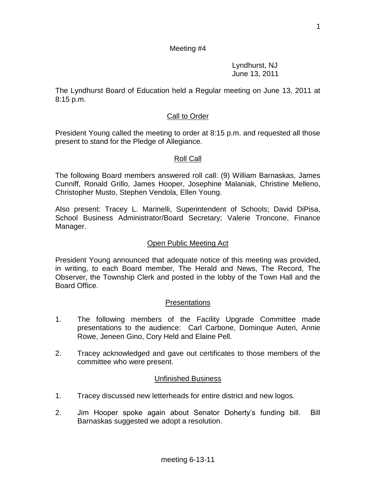#### Meeting #4

Lyndhurst, NJ June 13, 2011

The Lyndhurst Board of Education held a Regular meeting on June 13, 2011 at 8:15 p.m.

#### Call to Order

President Young called the meeting to order at 8:15 p.m. and requested all those present to stand for the Pledge of Allegiance.

#### Roll Call

The following Board members answered roll call: (9) William Barnaskas, James Cunniff, Ronald Grillo, James Hooper, Josephine Malaniak, Christine Melleno, Christopher Musto, Stephen Vendola, Ellen Young.

Also present: Tracey L. Marinelli, Superintendent of Schools; David DiPisa, School Business Administrator/Board Secretary; Valerie Troncone, Finance Manager.

#### Open Public Meeting Act

President Young announced that adequate notice of this meeting was provided, in writing, to each Board member, The Herald and News, The Record, The Observer, the Township Clerk and posted in the lobby of the Town Hall and the Board Office.

#### Presentations

- 1. The following members of the Facility Upgrade Committee made presentations to the audience: Carl Carbone, Dominque Auteri, Annie Rowe, Jeneen Gino, Cory Held and Elaine Pell.
- 2. Tracey acknowledged and gave out certificates to those members of the committee who were present.

#### Unfinished Business

- 1. Tracey discussed new letterheads for entire district and new logos.
- 2. Jim Hooper spoke again about Senator Doherty's funding bill. Bill Barnaskas suggested we adopt a resolution.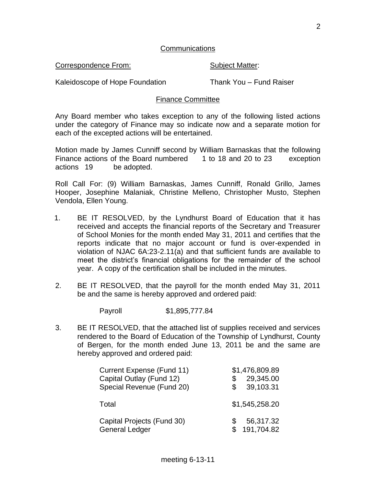Correspondence From: Subject Matter:

Kaleidoscope of Hope Foundation Thank You – Fund Raiser

# Finance Committee

Any Board member who takes exception to any of the following listed actions under the category of Finance may so indicate now and a separate motion for each of the excepted actions will be entertained.

Motion made by James Cunniff second by William Barnaskas that the following Finance actions of the Board numbered 1 to 18 and 20 to 23 exception actions 19 be adopted.

Roll Call For: (9) William Barnaskas, James Cunniff, Ronald Grillo, James Hooper, Josephine Malaniak, Christine Melleno, Christopher Musto, Stephen Vendola, Ellen Young.

- 1. BE IT RESOLVED, by the Lyndhurst Board of Education that it has received and accepts the financial reports of the Secretary and Treasurer of School Monies for the month ended May 31, 2011 and certifies that the reports indicate that no major account or fund is over-expended in violation of NJAC 6A:23-2.11(a) and that sufficient funds are available to meet the district's financial obligations for the remainder of the school year. A copy of the certification shall be included in the minutes.
- 2. BE IT RESOLVED, that the payroll for the month ended May 31, 2011 be and the same is hereby approved and ordered paid:

Payroll \$1,895,777.84

3. BE IT RESOLVED, that the attached list of supplies received and services rendered to the Board of Education of the Township of Lyndhurst, County of Bergen, for the month ended June 13, 2011 be and the same are hereby approved and ordered paid:

| Current Expense (Fund 11)  | \$1,476,809.89 |
|----------------------------|----------------|
| Capital Outlay (Fund 12)   | 29,345.00      |
| Special Revenue (Fund 20)  | 39,103.31      |
| Total                      | \$1,545,258.20 |
| Capital Projects (Fund 30) | 56,317.32      |
| <b>General Ledger</b>      | 191,704.82     |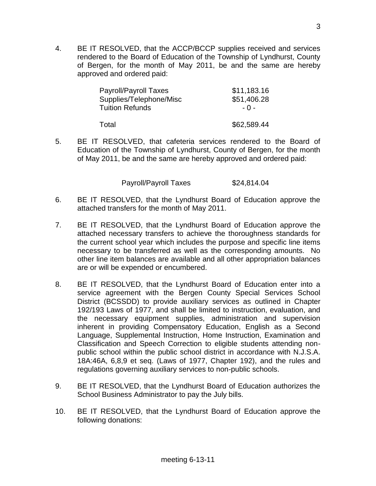4. BE IT RESOLVED, that the ACCP/BCCP supplies received and services rendered to the Board of Education of the Township of Lyndhurst, County of Bergen, for the month of May 2011, be and the same are hereby approved and ordered paid:

| <b>Payroll/Payroll Taxes</b> | \$11,183.16 |
|------------------------------|-------------|
| Supplies/Telephone/Misc      | \$51,406.28 |
| <b>Tuition Refunds</b>       | - 0 -       |
| Total                        | \$62,589.44 |

5. BE IT RESOLVED, that cafeteria services rendered to the Board of Education of the Township of Lyndhurst, County of Bergen, for the month of May 2011, be and the same are hereby approved and ordered paid:

Payroll/Payroll Taxes \$24,814.04

- 6. BE IT RESOLVED, that the Lyndhurst Board of Education approve the attached transfers for the month of May 2011.
- 7. BE IT RESOLVED, that the Lyndhurst Board of Education approve the attached necessary transfers to achieve the thoroughness standards for the current school year which includes the purpose and specific line items necessary to be transferred as well as the corresponding amounts. No other line item balances are available and all other appropriation balances are or will be expended or encumbered.
- 8. BE IT RESOLVED, that the Lyndhurst Board of Education enter into a service agreement with the Bergen County Special Services School District (BCSSDD) to provide auxiliary services as outlined in Chapter 192/193 Laws of 1977, and shall be limited to instruction, evaluation, and the necessary equipment supplies, administration and supervision inherent in providing Compensatory Education, English as a Second Language, Supplemental Instruction, Home Instruction, Examination and Classification and Speech Correction to eligible students attending nonpublic school within the public school district in accordance with N.J.S.A. 18A:46A, 6,8,9 et seq. (Laws of 1977, Chapter 192), and the rules and regulations governing auxiliary services to non-public schools.
- 9. BE IT RESOLVED, that the Lyndhurst Board of Education authorizes the School Business Administrator to pay the July bills.
- 10. BE IT RESOLVED, that the Lyndhurst Board of Education approve the following donations: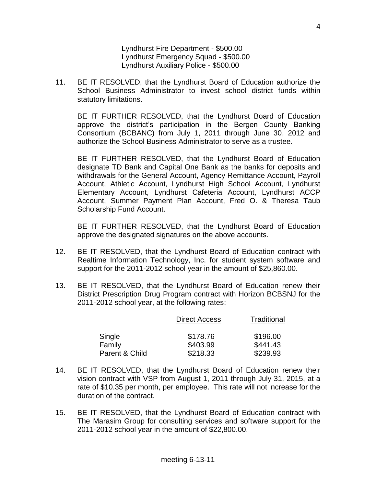Lyndhurst Fire Department - \$500.00 Lyndhurst Emergency Squad - \$500.00 Lyndhurst Auxiliary Police - \$500.00

11. BE IT RESOLVED, that the Lyndhurst Board of Education authorize the School Business Administrator to invest school district funds within statutory limitations.

BE IT FURTHER RESOLVED, that the Lyndhurst Board of Education approve the district's participation in the Bergen County Banking Consortium (BCBANC) from July 1, 2011 through June 30, 2012 and authorize the School Business Administrator to serve as a trustee.

BE IT FURTHER RESOLVED, that the Lyndhurst Board of Education designate TD Bank and Capital One Bank as the banks for deposits and withdrawals for the General Account, Agency Remittance Account, Payroll Account, Athletic Account, Lyndhurst High School Account, Lyndhurst Elementary Account, Lyndhurst Cafeteria Account, Lyndhurst ACCP Account, Summer Payment Plan Account, Fred O. & Theresa Taub Scholarship Fund Account.

BE IT FURTHER RESOLVED, that the Lyndhurst Board of Education approve the designated signatures on the above accounts.

- 12. BE IT RESOLVED, that the Lyndhurst Board of Education contract with Realtime Information Technology, Inc. for student system software and support for the 2011-2012 school year in the amount of \$25,860.00.
- 13. BE IT RESOLVED, that the Lyndhurst Board of Education renew their District Prescription Drug Program contract with Horizon BCBSNJ for the 2011-2012 school year, at the following rates:

|                | <b>Direct Access</b> | Traditional |
|----------------|----------------------|-------------|
| Single         | \$178.76             | \$196.00    |
| Family         | \$403.99             | \$441.43    |
| Parent & Child | \$218.33             | \$239.93    |

- 14. BE IT RESOLVED, that the Lyndhurst Board of Education renew their vision contract with VSP from August 1, 2011 through July 31, 2015, at a rate of \$10.35 per month, per employee. This rate will not increase for the duration of the contract.
- 15. BE IT RESOLVED, that the Lyndhurst Board of Education contract with The Marasim Group for consulting services and software support for the 2011-2012 school year in the amount of \$22,800.00.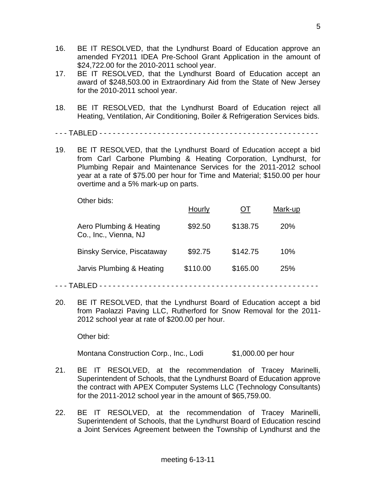- 16. BE IT RESOLVED, that the Lyndhurst Board of Education approve an amended FY2011 IDEA Pre-School Grant Application in the amount of \$24,722.00 for the 2010-2011 school year.
- 17. BE IT RESOLVED, that the Lyndhurst Board of Education accept an award of \$248,503.00 in Extraordinary Aid from the State of New Jersey for the 2010-2011 school year.
- 18. BE IT RESOLVED, that the Lyndhurst Board of Education reject all Heating, Ventilation, Air Conditioning, Boiler & Refrigeration Services bids.
- - TABLED - - - - - - - - - - - - - - - - - - - - - - - - -
- 19. BE IT RESOLVED, that the Lyndhurst Board of Education accept a bid from Carl Carbone Plumbing & Heating Corporation, Lyndhurst, for Plumbing Repair and Maintenance Services for the 2011-2012 school year at a rate of \$75.00 per hour for Time and Material; \$150.00 per hour overtime and a 5% mark-up on parts.

Other bids:

|                                                  | Hourly   |          | Mark-up         |
|--------------------------------------------------|----------|----------|-----------------|
| Aero Plumbing & Heating<br>Co., Inc., Vienna, NJ | \$92.50  | \$138.75 | 20 <sub>%</sub> |
| <b>Binsky Service, Piscataway</b>                | \$92.75  | \$142.75 | 10%             |
| Jarvis Plumbing & Heating                        | \$110.00 | \$165.00 | <b>25%</b>      |
|                                                  |          |          |                 |

- - TABLED - - - - - - - - - - - - - - - - - - - - - - - - -
- 20. BE IT RESOLVED, that the Lyndhurst Board of Education accept a bid from Paolazzi Paving LLC, Rutherford for Snow Removal for the 2011- 2012 school year at rate of \$200.00 per hour.

Other bid:

Montana Construction Corp., Inc., Lodi \$1,000.00 per hour

- 21. BE IT RESOLVED, at the recommendation of Tracey Marinelli, Superintendent of Schools, that the Lyndhurst Board of Education approve the contract with APEX Computer Systems LLC (Technology Consultants) for the 2011-2012 school year in the amount of \$65,759.00.
- 22. BE IT RESOLVED, at the recommendation of Tracey Marinelli, Superintendent of Schools, that the Lyndhurst Board of Education rescind a Joint Services Agreement between the Township of Lyndhurst and the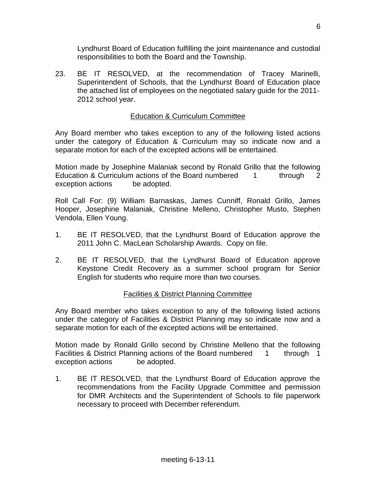Lyndhurst Board of Education fulfilling the joint maintenance and custodial responsibilities to both the Board and the Township.

23. BE IT RESOLVED, at the recommendation of Tracey Marinelli, Superintendent of Schools, that the Lyndhurst Board of Education place the attached list of employees on the negotiated salary guide for the 2011- 2012 school year.

## Education & Curriculum Committee

Any Board member who takes exception to any of the following listed actions under the category of Education & Curriculum may so indicate now and a separate motion for each of the excepted actions will be entertained.

Motion made by Josephine Malaniak second by Ronald Grillo that the following Education & Curriculum actions of the Board numbered 1 through 2 exception actions be adopted.

Roll Call For: (9) William Barnaskas, James Cunniff, Ronald Grillo, James Hooper, Josephine Malaniak, Christine Melleno, Christopher Musto, Stephen Vendola, Ellen Young.

- 1. BE IT RESOLVED, that the Lyndhurst Board of Education approve the 2011 John C. MacLean Scholarship Awards. Copy on file.
- 2. BE IT RESOLVED, that the Lyndhurst Board of Education approve Keystone Credit Recovery as a summer school program for Senior English for students who require more than two courses.

## Facilities & District Planning Committee

Any Board member who takes exception to any of the following listed actions under the category of Facilities & District Planning may so indicate now and a separate motion for each of the excepted actions will be entertained.

Motion made by Ronald Grillo second by Christine Melleno that the following Facilities & District Planning actions of the Board numbered 1 through 1 exception actions be adopted.

1. BE IT RESOLVED, that the Lyndhurst Board of Education approve the recommendations from the Facility Upgrade Committee and permission for DMR Architects and the Superintendent of Schools to file paperwork necessary to proceed with December referendum.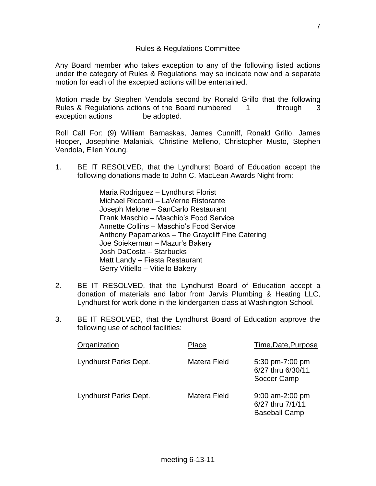### Rules & Regulations Committee

Any Board member who takes exception to any of the following listed actions under the category of Rules & Regulations may so indicate now and a separate motion for each of the excepted actions will be entertained.

Motion made by Stephen Vendola second by Ronald Grillo that the following Rules & Regulations actions of the Board numbered 1 through 3 exception actions be adopted.

Roll Call For: (9) William Barnaskas, James Cunniff, Ronald Grillo, James Hooper, Josephine Malaniak, Christine Melleno, Christopher Musto, Stephen Vendola, Ellen Young.

1. BE IT RESOLVED, that the Lyndhurst Board of Education accept the following donations made to John C. MacLean Awards Night from:

> Maria Rodriguez – Lyndhurst Florist Michael Riccardi – LaVerne Ristorante Joseph Melone – SanCarlo Restaurant Frank Maschio – Maschio's Food Service Annette Collins – Maschio's Food Service Anthony Papamarkos – The Graycliff Fine Catering Joe Soiekerman – Mazur's Bakery Josh DaCosta – Starbucks Matt Landy – Fiesta Restaurant Gerry Vitiello – Vitiello Bakery

- 2. BE IT RESOLVED, that the Lyndhurst Board of Education accept a donation of materials and labor from Jarvis Plumbing & Heating LLC, Lyndhurst for work done in the kindergarten class at Washington School.
- 3. BE IT RESOLVED, that the Lyndhurst Board of Education approve the following use of school facilities:

| Organization          | Place        | Time, Date, Purpose                                         |
|-----------------------|--------------|-------------------------------------------------------------|
| Lyndhurst Parks Dept. | Matera Field | 5:30 pm-7:00 pm<br>6/27 thru 6/30/11<br>Soccer Camp         |
| Lyndhurst Parks Dept. | Matera Field | 9:00 am-2:00 pm<br>6/27 thru 7/1/11<br><b>Baseball Camp</b> |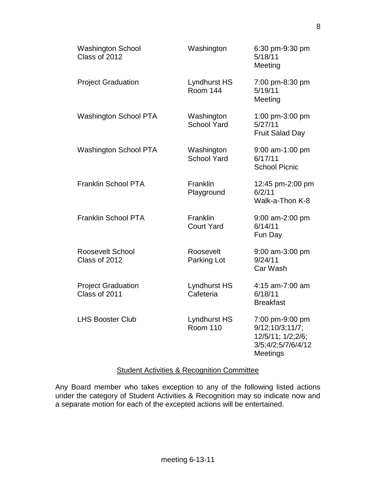| <b>Washington School</b><br>Class of 2012  | Washington                             | 6:30 pm-9:30 pm<br>5/18/11<br>Meeting                                                            |
|--------------------------------------------|----------------------------------------|--------------------------------------------------------------------------------------------------|
| <b>Project Graduation</b>                  | <b>Lyndhurst HS</b><br><b>Room 144</b> | 7:00 pm-8:30 pm<br>5/19/11<br>Meeting                                                            |
| <b>Washington School PTA</b>               | Washington<br><b>School Yard</b>       | 1:00 pm-3:00 pm<br>5/27/11<br><b>Fruit Salad Day</b>                                             |
| <b>Washington School PTA</b>               | Washington<br><b>School Yard</b>       | 9:00 am-1:00 pm<br>6/17/11<br><b>School Picnic</b>                                               |
| <b>Franklin School PTA</b>                 | Franklin<br>Playground                 | 12:45 pm-2:00 pm<br>6/2/11<br>Walk-a-Thon K-8                                                    |
| <b>Franklin School PTA</b>                 | Franklin<br><b>Court Yard</b>          | 9:00 am-2:00 pm<br>6/14/11<br>Fun Day                                                            |
| <b>Roosevelt School</b><br>Class of 2012   | Roosevelt<br>Parking Lot               | 9:00 am-3:00 pm<br>9/24/11<br>Car Wash                                                           |
| <b>Project Graduation</b><br>Class of 2011 | <b>Lyndhurst HS</b><br>Cafeteria       | 4:15 am-7:00 am<br>6/18/11<br><b>Breakfast</b>                                                   |
| <b>LHS Booster Club</b>                    | Lyndhurst HS<br><b>Room 110</b>        | 7:00 pm-9:00 pm<br>9/12;10/3;11/7;<br>12/5/11; 1/2;2/6;<br>3/5;4/2;5/7/6/4/12<br><b>Meetings</b> |

## Student Activities & Recognition Committee

Any Board member who takes exception to any of the following listed actions under the category of Student Activities & Recognition may so indicate now and a separate motion for each of the excepted actions will be entertained.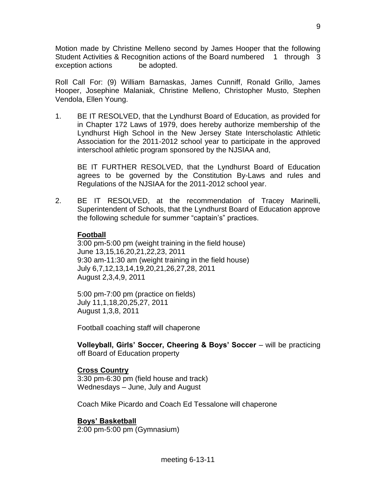Motion made by Christine Melleno second by James Hooper that the following Student Activities & Recognition actions of the Board numbered 1 through 3 exception actions be adopted.

Roll Call For: (9) William Barnaskas, James Cunniff, Ronald Grillo, James Hooper, Josephine Malaniak, Christine Melleno, Christopher Musto, Stephen Vendola, Ellen Young.

1. BE IT RESOLVED, that the Lyndhurst Board of Education, as provided for in Chapter 172 Laws of 1979, does hereby authorize membership of the Lyndhurst High School in the New Jersey State Interscholastic Athletic Association for the 2011-2012 school year to participate in the approved interschool athletic program sponsored by the NJSIAA and,

BE IT FURTHER RESOLVED, that the Lyndhurst Board of Education agrees to be governed by the Constitution By-Laws and rules and Regulations of the NJSIAA for the 2011-2012 school year.

2. BE IT RESOLVED, at the recommendation of Tracey Marinelli, Superintendent of Schools, that the Lyndhurst Board of Education approve the following schedule for summer "captain's" practices.

#### **Football**

3:00 pm-5:00 pm (weight training in the field house) June 13,15,16,20,21,22,23, 2011 9:30 am-11:30 am (weight training in the field house) July 6,7,12,13,14,19,20,21,26,27,28, 2011 August 2,3,4,9, 2011

5:00 pm-7:00 pm (practice on fields) July 11,1,18,20,25,27, 2011 August 1,3,8, 2011

Football coaching staff will chaperone

**Volleyball, Girls' Soccer, Cheering & Boys' Soccer** – will be practicing off Board of Education property

## **Cross Country**

3:30 pm-6:30 pm (field house and track) Wednesdays – June, July and August

Coach Mike Picardo and Coach Ed Tessalone will chaperone

## **Boys' Basketball**

2:00 pm-5:00 pm (Gymnasium)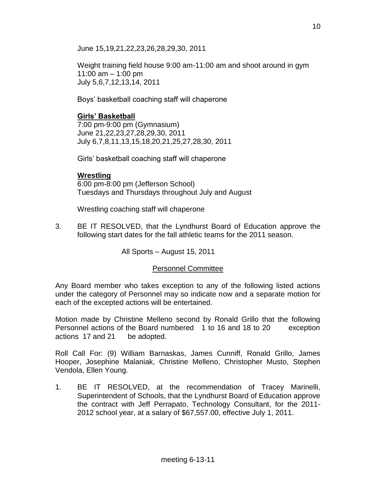June 15,19,21,22,23,26,28,29,30, 2011

Weight training field house 9:00 am-11:00 am and shoot around in gym 11:00 am – 1:00 pm July 5,6,7,12,13,14, 2011

Boys' basketball coaching staff will chaperone

# **Girls' Basketball**

7:00 pm-9:00 pm (Gymnasium) June 21,22,23,27,28,29,30, 2011 July 6,7,8,11,13,15,18,20,21,25,27,28,30, 2011

Girls' basketball coaching staff will chaperone

## **Wrestling**

6:00 pm-8:00 pm (Jefferson School) Tuesdays and Thursdays throughout July and August

Wrestling coaching staff will chaperone

3. BE IT RESOLVED, that the Lyndhurst Board of Education approve the following start dates for the fall athletic teams for the 2011 season.

All Sports – August 15, 2011

# Personnel Committee

Any Board member who takes exception to any of the following listed actions under the category of Personnel may so indicate now and a separate motion for each of the excepted actions will be entertained.

Motion made by Christine Melleno second by Ronald Grillo that the following Personnel actions of the Board numbered 1 to 16 and 18 to 20 exception actions 17 and 21 be adopted.

Roll Call For: (9) William Barnaskas, James Cunniff, Ronald Grillo, James Hooper, Josephine Malaniak, Christine Melleno, Christopher Musto, Stephen Vendola, Ellen Young.

1. BE IT RESOLVED, at the recommendation of Tracey Marinelli, Superintendent of Schools, that the Lyndhurst Board of Education approve the contract with Jeff Perrapato, Technology Consultant, for the 2011- 2012 school year, at a salary of \$67,557.00, effective July 1, 2011.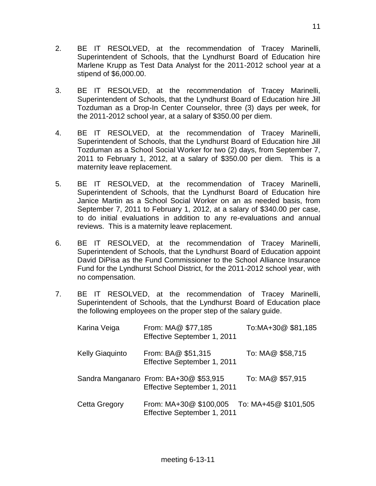- 2. BE IT RESOLVED, at the recommendation of Tracey Marinelli, Superintendent of Schools, that the Lyndhurst Board of Education hire Marlene Krupp as Test Data Analyst for the 2011-2012 school year at a stipend of \$6,000.00.
- 3. BE IT RESOLVED, at the recommendation of Tracey Marinelli, Superintendent of Schools, that the Lyndhurst Board of Education hire Jill Tozduman as a Drop-In Center Counselor, three (3) days per week, for the 2011-2012 school year, at a salary of \$350.00 per diem.
- 4. BE IT RESOLVED, at the recommendation of Tracey Marinelli, Superintendent of Schools, that the Lyndhurst Board of Education hire Jill Tozduman as a School Social Worker for two (2) days, from September 7, 2011 to February 1, 2012, at a salary of \$350.00 per diem. This is a maternity leave replacement.
- 5. BE IT RESOLVED, at the recommendation of Tracey Marinelli, Superintendent of Schools, that the Lyndhurst Board of Education hire Janice Martin as a School Social Worker on an as needed basis, from September 7, 2011 to February 1, 2012, at a salary of \$340.00 per case, to do initial evaluations in addition to any re-evaluations and annual reviews. This is a maternity leave replacement.
- 6. BE IT RESOLVED, at the recommendation of Tracey Marinelli, Superintendent of Schools, that the Lyndhurst Board of Education appoint David DiPisa as the Fund Commissioner to the School Alliance Insurance Fund for the Lyndhurst School District, for the 2011-2012 school year, with no compensation.
- 7. BE IT RESOLVED, at the recommendation of Tracey Marinelli, Superintendent of Schools, that the Lyndhurst Board of Education place the following employees on the proper step of the salary guide.

| Karina Veiga           | From: MA@ \$77,185<br>Effective September 1, 2011                     | To:MA+30@ \$81,185   |
|------------------------|-----------------------------------------------------------------------|----------------------|
| <b>Kelly Giaquinto</b> | From: BA@ \$51,315<br>Effective September 1, 2011                     | To: MA@ \$58,715     |
|                        | Sandra Manganaro From: BA+30@ \$53,915<br>Effective September 1, 2011 | To: MA@ \$57,915     |
| Cetta Gregory          | From: MA+30@ \$100,005<br>Effective September 1, 2011                 | To: MA+45@ \$101,505 |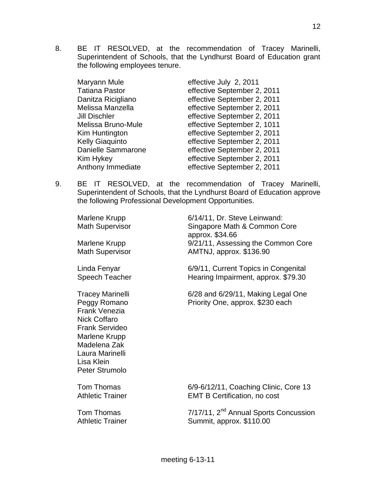8. BE IT RESOLVED, at the recommendation of Tracey Marinelli, Superintendent of Schools, that the Lyndhurst Board of Education grant the following employees tenure.

| Maryann Mule              | effective July 2, 2011      |
|---------------------------|-----------------------------|
| <b>Tatiana Pastor</b>     | effective September 2, 2011 |
| Danitza Ricigliano        | effective September 2, 2011 |
| Melissa Manzella          | effective September 2, 2011 |
| <b>Jill Dischler</b>      | effective September 2, 2011 |
| Melissa Bruno-Mule        | effective September 2, 1011 |
| Kim Huntington            | effective September 2, 2011 |
| <b>Kelly Giaquinto</b>    | effective September 2, 2011 |
| <b>Danielle Sammarone</b> | effective September 2, 2011 |
| Kim Hykey                 | effective September 2, 2011 |
| Anthony Immediate         | effective September 2, 2011 |

9. BE IT RESOLVED, at the recommendation of Tracey Marinelli, Superintendent of Schools, that the Lyndhurst Board of Education approve the following Professional Development Opportunities.

| Marlene Krupp<br><b>Math Supervisor</b><br>Marlene Krupp<br><b>Math Supervisor</b>                                                                                                                  | 6/14/11, Dr. Steve Leinwand:<br>Singapore Math & Common Core<br>approx. \$34.66<br>9/21/11, Assessing the Common Core<br>AMTNJ, approx. \$136.90 |
|-----------------------------------------------------------------------------------------------------------------------------------------------------------------------------------------------------|--------------------------------------------------------------------------------------------------------------------------------------------------|
| Linda Fenyar<br>Speech Teacher                                                                                                                                                                      | 6/9/11, Current Topics in Congenital<br>Hearing Impairment, approx. \$79.30                                                                      |
| <b>Tracey Marinelli</b><br>Peggy Romano<br><b>Frank Venezia</b><br><b>Nick Coffaro</b><br><b>Frank Servideo</b><br>Marlene Krupp<br>Madelena Zak<br>Laura Marinelli<br>Lisa Klein<br>Peter Strumolo | 6/28 and 6/29/11, Making Legal One<br>Priority One, approx. \$230 each                                                                           |
| Tom Thomas<br><b>Athletic Trainer</b>                                                                                                                                                               | 6/9-6/12/11, Coaching Clinic, Core 13<br><b>EMT B Certification, no cost</b>                                                                     |
| Tom Thomas<br><b>Athletic Trainer</b>                                                                                                                                                               | 7/17/11, 2 <sup>nd</sup> Annual Sports Concussion<br>Summit, approx. \$110.00                                                                    |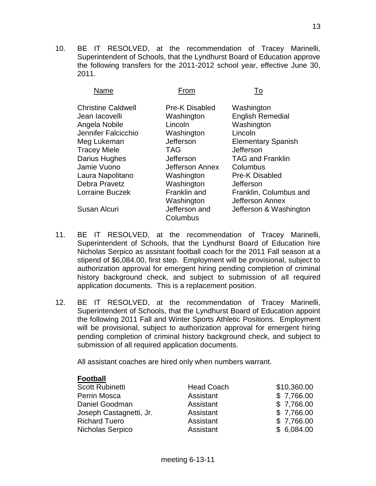10. BE IT RESOLVED, at the recommendation of Tracey Marinelli, Superintendent of Schools, that the Lyndhurst Board of Education approve the following transfers for the 2011-2012 school year, effective June 30, 2011.

| Name                      | From                  | To                        |
|---------------------------|-----------------------|---------------------------|
| <b>Christine Caldwell</b> | <b>Pre-K Disabled</b> | Washington                |
| Jean lacovelli            | Washington            | <b>English Remedial</b>   |
| Angela Nobile             | Lincoln               | Washington                |
| Jennifer Falcicchio       | Washington            | Lincoln                   |
| Meg Lukeman               | Jefferson             | <b>Elementary Spanish</b> |
| <b>Tracey Miele</b>       | <b>TAG</b>            | Jefferson                 |
| Darius Hughes             | Jefferson             | <b>TAG and Franklin</b>   |
| Jamie Vuono               | Jefferson Annex       | Columbus                  |
| Laura Napolitano          | Washington            | <b>Pre-K Disabled</b>     |
| Debra Pravetz             | Washington            | Jefferson                 |
| <b>Lorraine Buczek</b>    | Franklin and          | Franklin, Columbus and    |
|                           | Washington            | Jefferson Annex           |
| Susan Alcuri              | Jefferson and         | Jefferson & Washington    |
|                           | Columbus              |                           |

- 11. BE IT RESOLVED, at the recommendation of Tracey Marinelli, Superintendent of Schools, that the Lyndhurst Board of Education hire Nicholas Serpico as assistant football coach for the 2011 Fall season at a stipend of \$6,084.00, first step. Employment will be provisional, subject to authorization approval for emergent hiring pending completion of criminal history background check, and subject to submission of all required application documents. This is a replacement position.
- 12. BE IT RESOLVED, at the recommendation of Tracey Marinelli, Superintendent of Schools, that the Lyndhurst Board of Education appoint the following 2011 Fall and Winter Sports Athletic Positions. Employment will be provisional, subject to authorization approval for emergent hiring pending completion of criminal history background check, and subject to submission of all required application documents.

All assistant coaches are hired only when numbers warrant.

#### **Football**

| Scott Rubinetti         | <b>Head Coach</b> | \$10,360.00 |
|-------------------------|-------------------|-------------|
| Perrin Mosca            | Assistant         | \$7,766.00  |
| Daniel Goodman          | Assistant         | \$7,766.00  |
| Joseph Castagnetti, Jr. | Assistant         | \$7,766.00  |
| <b>Richard Tuero</b>    | Assistant         | \$7,766.00  |
| Nicholas Serpico        | Assistant         | \$6,084.00  |
|                         |                   |             |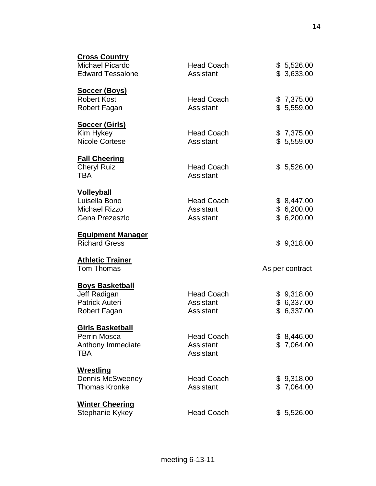| <b>Cross Country</b><br><b>Michael Picardo</b> | <b>Head Coach</b>              | \$5,526.00               |
|------------------------------------------------|--------------------------------|--------------------------|
| <b>Edward Tessalone</b>                        | Assistant                      | \$3,633.00               |
| <b>Soccer (Boys)</b><br><b>Robert Kost</b>     | <b>Head Coach</b>              | \$7,375.00               |
| Robert Fagan                                   | Assistant                      | \$5,559.00               |
| <b>Soccer (Girls)</b>                          |                                |                          |
| Kim Hykey<br><b>Nicole Cortese</b>             | <b>Head Coach</b><br>Assistant | \$7,375.00<br>\$5,559.00 |
| <b>Fall Cheering</b>                           |                                |                          |
| <b>Cheryl Ruiz</b><br><b>TBA</b>               | <b>Head Coach</b><br>Assistant | \$5,526.00               |
| <b>Volleyball</b>                              |                                |                          |
| Luisella Bono                                  | <b>Head Coach</b>              | \$8,447.00               |
| <b>Michael Rizzo</b><br>Gena Prezeszlo         | Assistant<br>Assistant         | \$6,200.00<br>\$6,200.00 |
| <b>Equipment Manager</b>                       |                                |                          |
| <b>Richard Gress</b>                           |                                | \$9,318.00               |
| <b>Athletic Trainer</b><br><b>Tom Thomas</b>   |                                | As per contract          |
| <b>Boys Basketball</b>                         |                                |                          |
| Jeff Radigan                                   | <b>Head Coach</b>              | \$9,318.00               |
| <b>Patrick Auteri</b><br>Robert Fagan          | Assistant<br>Assistant         | \$6,337.00<br>\$6,337.00 |
|                                                |                                |                          |
| <b>Girls Basketball</b>                        |                                |                          |
| Perrin Mosca<br>Anthony Immediate              | <b>Head Coach</b><br>Assistant | \$8,446.00<br>\$7,064.00 |
| <b>TBA</b>                                     | Assistant                      |                          |
| <u>Wrestling</u>                               |                                |                          |
| <b>Dennis McSweeney</b>                        | <b>Head Coach</b>              | \$9,318.00               |
| <b>Thomas Kronke</b>                           | Assistant                      | \$7,064.00               |
| <b>Winter Cheering</b>                         |                                |                          |
| Stephanie Kykey                                | <b>Head Coach</b>              | \$5,526.00               |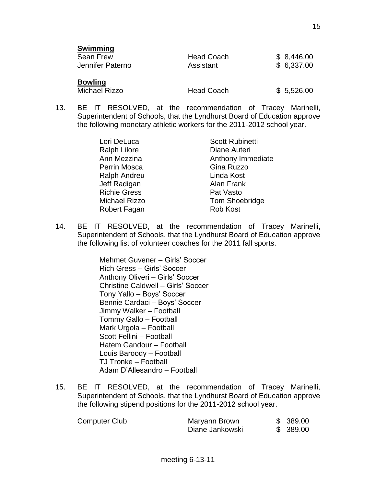| <b>SWIIIIIIIIIIII</b><br><b>Sean Frew</b><br>Jennifer Paterno | <b>Head Coach</b><br>Assistant | \$8,446.00<br>\$6,337.00 |
|---------------------------------------------------------------|--------------------------------|--------------------------|
| <b>Bowling</b><br><b>Michael Rizzo</b>                        | <b>Head Coach</b>              | \$5,526.00               |

13. BE IT RESOLVED, at the recommendation of Tracey Marinelli, Superintendent of Schools, that the Lyndhurst Board of Education approve the following monetary athletic workers for the 2011-2012 school year.

> Ralph Lilore **Diane Auteri** Perrin Mosca Gina Ruzzo Ralph Andreu Linda Kost Jeff Radigan **Alan Frank** Richie Gress **Pat Vasto** Robert Fagan Rob Kost

**Swimming**

Lori DeLuca Scott Rubinetti Ann Mezzina **Anthony Immediate** Michael Rizzo Tom Shoebridge

14. BE IT RESOLVED, at the recommendation of Tracey Marinelli, Superintendent of Schools, that the Lyndhurst Board of Education approve the following list of volunteer coaches for the 2011 fall sports.

> Mehmet Guvener – Girls' Soccer Rich Gress – Girls' Soccer Anthony Oliveri – Girls' Soccer Christine Caldwell – Girls' Soccer Tony Yallo – Boys' Soccer Bennie Cardaci – Boys' Soccer Jimmy Walker – Football Tommy Gallo – Football Mark Urgola – Football Scott Fellini – Football Hatem Gandour – Football Louis Baroody – Football TJ Tronke – Football Adam D'Allesandro – Football

15. BE IT RESOLVED, at the recommendation of Tracey Marinelli, Superintendent of Schools, that the Lyndhurst Board of Education approve the following stipend positions for the 2011-2012 school year.

| Computer Club | Maryann Brown   | \$389.00  |
|---------------|-----------------|-----------|
|               | Diane Jankowski | \$ 389.00 |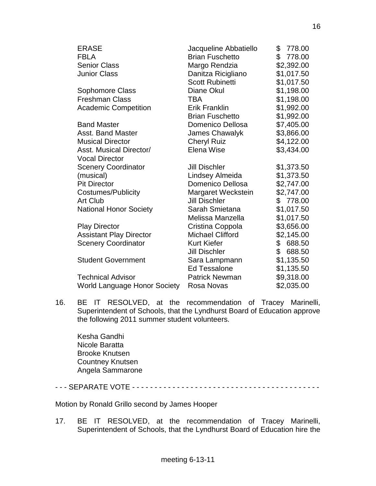| <b>ERASE</b>                                     | Jacqueline Abbatiello   | \$778.00     |
|--------------------------------------------------|-------------------------|--------------|
| <b>FBLA</b>                                      | <b>Brian Fuschetto</b>  | \$<br>778.00 |
| <b>Senior Class</b>                              | Margo Rendzia           | \$2,392.00   |
| <b>Junior Class</b>                              | Danitza Ricigliano      | \$1,017.50   |
|                                                  | <b>Scott Rubinetti</b>  | \$1,017.50   |
| Sophomore Class                                  | Diane Okul              | \$1,198.00   |
| <b>Freshman Class</b>                            | <b>TBA</b>              | \$1,198.00   |
| <b>Academic Competition</b>                      | <b>Erik Franklin</b>    | \$1,992.00   |
|                                                  | <b>Brian Fuschetto</b>  | \$1,992.00   |
| <b>Band Master</b>                               | Domenico Dellosa        | \$7,405.00   |
| <b>Asst. Band Master</b>                         | James Chawalyk          | \$3,866.00   |
| <b>Musical Director</b>                          | <b>Cheryl Ruiz</b>      | \$4,122.00   |
| Asst. Musical Director/<br><b>Vocal Director</b> | Elena Wise              | \$3,434.00   |
| <b>Scenery Coordinator</b>                       | <b>Jill Dischler</b>    | \$1,373.50   |
| (musical)                                        | Lindsey Almeida         | \$1,373.50   |
| <b>Pit Director</b>                              | Domenico Dellosa        | \$2,747.00   |
| Costumes/Publicity                               | Margaret Weckstein      | \$2,747.00   |
| <b>Art Club</b>                                  | <b>Jill Dischler</b>    | \$ 778.00    |
| <b>National Honor Society</b>                    | Sarah Smietana          | \$1,017.50   |
|                                                  | Melissa Manzella        | \$1,017.50   |
| <b>Play Director</b>                             | Cristina Coppola        | \$3,656.00   |
| <b>Assistant Play Director</b>                   | <b>Michael Clifford</b> | \$2,145.00   |
| <b>Scenery Coordinator</b>                       | <b>Kurt Kiefer</b>      | \$688.50     |
|                                                  | <b>Jill Dischler</b>    | \$<br>688.50 |
| <b>Student Government</b>                        | Sara Lampmann           | \$1,135.50   |
|                                                  | <b>Ed Tessalone</b>     | \$1,135.50   |
| <b>Technical Advisor</b>                         | <b>Patrick Newman</b>   | \$9,318.00   |
| <b>World Language Honor Society</b>              | Rosa Novas              | \$2,035.00   |

16. BE IT RESOLVED, at the recommendation of Tracey Marinelli, Superintendent of Schools, that the Lyndhurst Board of Education approve the following 2011 summer student volunteers.

Kesha Gandhi Nicole Baratta Brooke Knutsen Countney Knutsen Angela Sammarone

- - - SEPARATE VOTE - - - - - - - - - - - - - - - - - - - - - - - - - - - - - - - - - - - - - - - - - -

Motion by Ronald Grillo second by James Hooper

17. BE IT RESOLVED, at the recommendation of Tracey Marinelli, Superintendent of Schools, that the Lyndhurst Board of Education hire the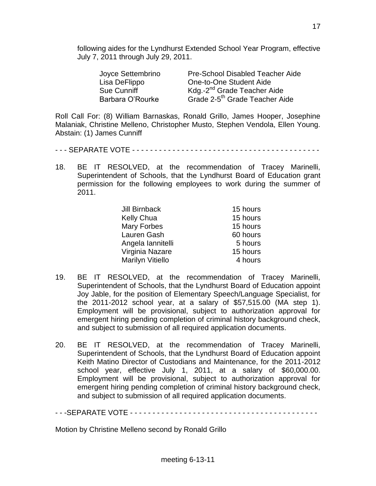following aides for the Lyndhurst Extended School Year Program, effective July 7, 2011 through July 29, 2011.

| Joyce Settembrino | <b>Pre-School Disabled Teacher Aide</b>    |
|-------------------|--------------------------------------------|
| Lisa DeFlippo     | One-to-One Student Aide                    |
| Sue Cunniff       | Kdg.-2 <sup>nd</sup> Grade Teacher Aide    |
| Barbara O'Rourke  | Grade 2-5 <sup>th</sup> Grade Teacher Aide |

Roll Call For: (8) William Barnaskas, Ronald Grillo, James Hooper, Josephine Malaniak, Christine Melleno, Christopher Musto, Stephen Vendola, Ellen Young. Abstain: (1) James Cunniff

- - SEPARATE VOTE - - - - - - - - - - - - - - - - - - - - -
- 18. BE IT RESOLVED, at the recommendation of Tracey Marinelli, Superintendent of Schools, that the Lyndhurst Board of Education grant permission for the following employees to work during the summer of 2011.

| <b>Jill Birnback</b> | 15 hours |
|----------------------|----------|
| Kelly Chua           | 15 hours |
| <b>Mary Forbes</b>   | 15 hours |
| Lauren Gash          | 60 hours |
| Angela lannitelli    | 5 hours  |
| Virginia Nazare      | 15 hours |
| Marilyn Vitiello     | 4 hours  |

- 19. BE IT RESOLVED, at the recommendation of Tracey Marinelli, Superintendent of Schools, that the Lyndhurst Board of Education appoint Joy Jable, for the position of Elementary Speech/Language Specialist, for the 2011-2012 school year, at a salary of \$57,515.00 (MA step 1). Employment will be provisional, subject to authorization approval for emergent hiring pending completion of criminal history background check, and subject to submission of all required application documents.
- 20. BE IT RESOLVED, at the recommendation of Tracey Marinelli, Superintendent of Schools, that the Lyndhurst Board of Education appoint Keith Matino Director of Custodians and Maintenance, for the 2011-2012 school year, effective July 1, 2011, at a salary of \$60,000.00. Employment will be provisional, subject to authorization approval for emergent hiring pending completion of criminal history background check, and subject to submission of all required application documents.

- - -SEPARATE VOTE - - - - - - - - - - - - - - - - - - - - - - - - - - - - - - - - - - - - - - - - - -

Motion by Christine Melleno second by Ronald Grillo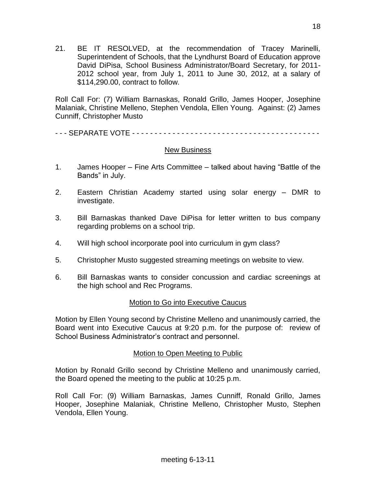21. BE IT RESOLVED, at the recommendation of Tracey Marinelli, Superintendent of Schools, that the Lyndhurst Board of Education approve David DiPisa, School Business Administrator/Board Secretary, for 2011- 2012 school year, from July 1, 2011 to June 30, 2012, at a salary of \$114,290.00, contract to follow.

Roll Call For: (7) William Barnaskas, Ronald Grillo, James Hooper, Josephine Malaniak, Christine Melleno, Stephen Vendola, Ellen Young. Against: (2) James Cunniff, Christopher Musto

- - - SEPARATE VOTE - - - - - - - - - - - - - - - - - - - - - - - - - - - - - - - - - - - - - - - - - -

## New Business

- 1. James Hooper Fine Arts Committee talked about having "Battle of the Bands" in July.
- 2. Eastern Christian Academy started using solar energy DMR to investigate.
- 3. Bill Barnaskas thanked Dave DiPisa for letter written to bus company regarding problems on a school trip.
- 4. Will high school incorporate pool into curriculum in gym class?
- 5. Christopher Musto suggested streaming meetings on website to view.
- 6. Bill Barnaskas wants to consider concussion and cardiac screenings at the high school and Rec Programs.

# Motion to Go into Executive Caucus

Motion by Ellen Young second by Christine Melleno and unanimously carried, the Board went into Executive Caucus at 9:20 p.m. for the purpose of: review of School Business Administrator's contract and personnel.

## Motion to Open Meeting to Public

Motion by Ronald Grillo second by Christine Melleno and unanimously carried, the Board opened the meeting to the public at 10:25 p.m.

Roll Call For: (9) William Barnaskas, James Cunniff, Ronald Grillo, James Hooper, Josephine Malaniak, Christine Melleno, Christopher Musto, Stephen Vendola, Ellen Young.